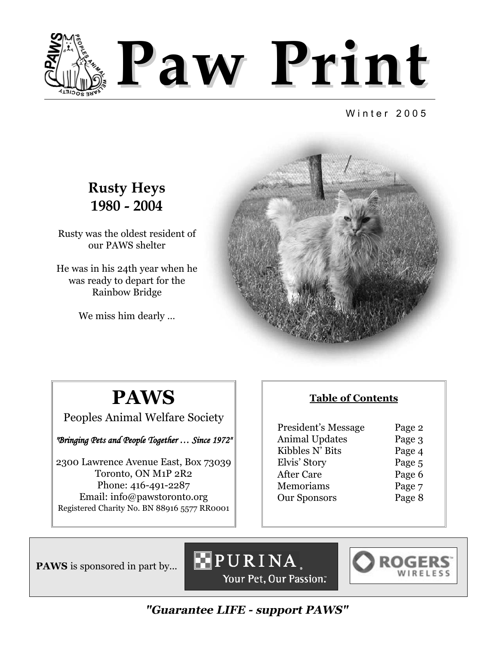

Winter 2005

### **Rusty Heys 1980 - 2004**

Rusty was the oldest resident of our PAWS shelter

He was in his 24th year when he was ready to depart for the Rainbow Bridge

We miss him dearly …



# **PAWS**

Peoples Animal Welfare Society

*"Bringing Pets and People Together … Since 1972"*

2300 Lawrence Avenue East, Box 73039 Toronto, ON M1P 2R2 Phone: 416-491-2287 Email: info@pawstoronto.org Registered Charity No. BN 88916 5577 RR0001

#### **Table of Contents**

| President's Message   | Page 2 |
|-----------------------|--------|
| <b>Animal Updates</b> | Page 3 |
| Kibbles N' Bits       | Page 4 |
| Elvis' Story          | Page 5 |
| After Care            | Page 6 |
| Memoriams             | Page 7 |
| <b>Our Sponsors</b>   | Page 8 |
|                       |        |

**PAWS** is sponsored in part by...





**"Guarantee LIFE - support PAWS"**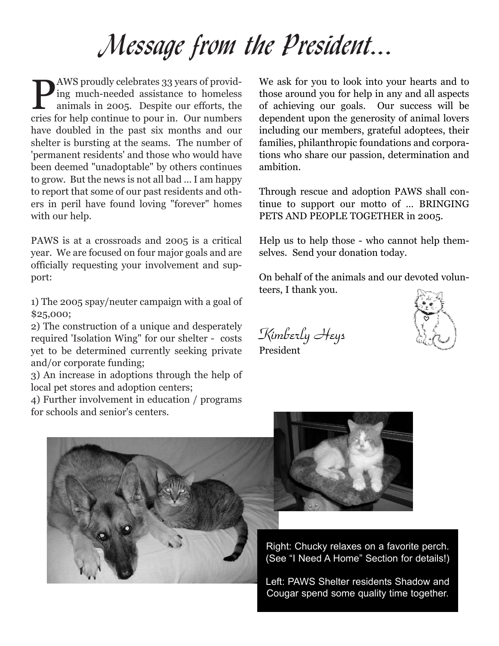# Message from the President...

**P**AWS proudly celebrates 33 years of provid-<br>ing much-needed assistance to homeless<br>animals in 2005. Despite our efforts, the ing much-needed assistance to homeless animals in 2005. Despite our efforts, the cries for help continue to pour in. Our numbers have doubled in the past six months and our shelter is bursting at the seams. The number of 'permanent residents' and those who would have been deemed "unadoptable" by others continues to grow. But the news is not all bad … I am happy to report that some of our past residents and others in peril have found loving "forever" homes with our help.

PAWS is at a crossroads and 2005 is a critical year. We are focused on four major goals and are officially requesting your involvement and support:

1) The 2005 spay/neuter campaign with a goal of \$25,000;

2) The construction of a unique and desperately required 'Isolation Wing" for our shelter - costs yet to be determined currently seeking private and/or corporate funding;

3) An increase in adoptions through the help of local pet stores and adoption centers;

4) Further involvement in education / programs for schools and senior's centers.

We ask for you to look into your hearts and to those around you for help in any and all aspects of achieving our goals. Our success will be dependent upon the generosity of animal lovers including our members, grateful adoptees, their families, philanthropic foundations and corporations who share our passion, determination and ambition.

Through rescue and adoption PAWS shall continue to support our motto of … BRINGING PETS AND PEOPLE TOGETHER in 2005.

Help us to help those - who cannot help themselves. Send your donation today.

On behalf of the animals and our devoted volunteers, I thank you.

Kimberly Heys President







Right: Chucky relaxes on a favorite perch. (See "I Need A Home" Section for details!)

Left: PAWS Shelter residents Shadow and Cougar spend some quality time together.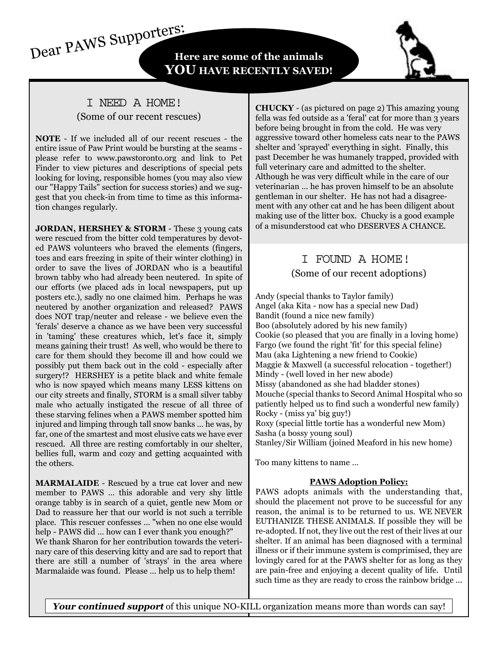Dear PAWS Supporters: **Here are some of the animals YOU HAVE RECENTLY SAVED!**

#### I NEED A HOME! (Some of our recent rescues)

**NOTE** - If we included all of our recent rescues - the entire issue of Paw Print would be bursting at the seams please refer to www.pawstoronto.org and link to Pet Finder to view pictures and descriptions of special pets looking for loving, responsible homes (you may also view our "Happy Tails" section for success stories) and we suggest that you check-in from time to time as this information changes regularly.

**JORDAN, HERSHEY & STORM - These 3 young cats** were rescued from the bitter cold temperatures by devoted PAWS volunteers who braved the elements (fingers, toes and ears freezing in spite of their winter clothing) in order to save the lives of JORDAN who is a beautiful brown tabby who had already been neutered. In spite of our efforts (we placed ads in local newspapers, put up posters etc.), sadly no one claimed him. Perhaps he was neutered by another organization and released? PAWS does NOT trap/neuter and release - we believe even the 'ferals' deserve a chance as we have been very successful in 'taming' these creatures which, let's face it, simply means gaining their trust! As well, who would be there to care for them should they become ill and how could we possibly put them back out in the cold - especially after surgery!? HERSHEY is a petite black and white female who is now spayed which means many LESS kittens on our city streets and finally, STORM is a small silver tabby male who actually instigated the rescue of all three of these starving felines when a PAWS member spotted him injured and limping through tall snow banks … he was, by far, one of the smartest and most elusive cats we have ever rescued. All three are resting comfortably in our shelter, bellies full, warm and cozy and getting acquainted with the others.

**MARMALAIDE** - Rescued by a true cat lover and new member to PAWS … this adorable and very shy little orange tabby is in search of a quiet, gentle new Mom or Dad to reassure her that our world is not such a terrible place. This rescuer confesses … "when no one else would help - PAWS did … how can I ever thank you enough?" We thank Sharon for her contribution towards the veterinary care of this deserving kitty and are sad to report that there are still a number of 'strays' in the area where Marmalaide was found. Please … help us to help them!

**CHUCKY** - (as pictured on page 2) This amazing young fella was fed outside as a 'feral' cat for more than 3 years before being brought in from the cold. He was very aggressive toward other homeless cats near to the PAWS shelter and 'sprayed' everything in sight. Finally, this past December he was humanely trapped, provided with full veterinary care and admitted to the shelter. Although he was very difficult while in the care of our veterinarian … he has proven himself to be an absolute gentleman in our shelter. He has not had a disagreement with any other cat and he has been diligent about making use of the litter box. Chucky is a good example of a misunderstood cat who DESERVES A CHANCE.

#### I FOUND A HOME! (Some of our recent adoptions)

Andy (special thanks to Taylor family) Angel (aka Kita - now has a special new Dad) Bandit (found a nice new family) Boo (absolutely adored by his new family) Cookie (so pleased that you are finally in a loving home) Fargo (we found the right 'fit' for this special feline) Mau (aka Lightening a new friend to Cookie) Maggie & Maxwell (a successful relocation - together!) Mindy - (well loved in her new abode) Missy (abandoned as she had bladder stones) Mouche (special thanks to Secord Animal Hospital who so patiently helped us to find such a wonderful new family) Rocky - (miss ya' big guy!) Roxy (special little tortie has a wonderful new Mom) Sasha (a bossy young soul) Stanley/Sir William (joined Meaford in his new home)

Too many kittens to name …

#### **PAWS Adoption Policy:**

PAWS adopts animals with the understanding that, should the placement not prove to be successful for any reason, the animal is to be returned to us. WE NEVER EUTHANIZE THESE ANIMALS. If possible they will be re-adopted. If not, they live out the rest of their lives at our shelter. If an animal has been diagnosed with a terminal illness or if their immune system is comprimised, they are lovingly cared for at the PAWS shelter for as long as they are pain-free and enjoying a decent quality of life. Until such time as they are ready to cross the rainbow bridge ...

Your continued support of this unique NO-KILL organization means more than words can say!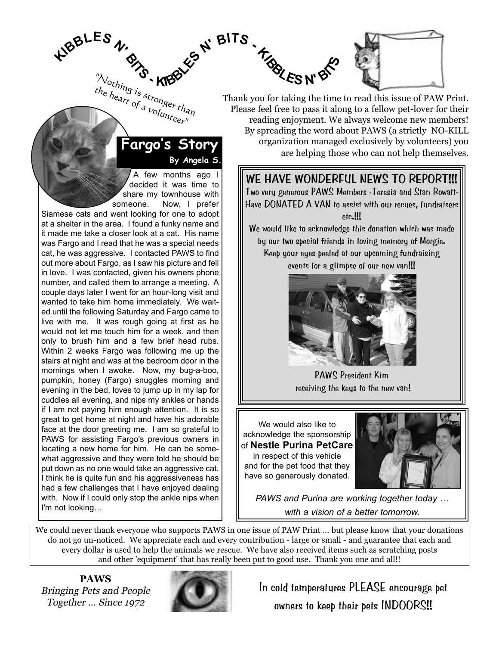$\mathbf{A}^{\mathbf{B}}$ **BLES**  $\boldsymbol{\theta}$ **BITS -** $\sum_{\text{the}}_{\text{he}_{\text{d}_{\text{r}_t}}} \sum_{\text{s}_{\text{t}_{\text{r}_{\text{O}}}}_{\text{r}_{\text{d}_{\text{r}_{\text{O}}}}_{\text{r}_{\text{d}_{\text{r}_{\text{O}}}}_{\text{r}_{\text{d}_{\text{r}_{\text{O}}}}}}}\mathbf{K}$ the heart of a volunteer"

Siamese cats and went looking for one to adopt at a shelter in the area. I found a funky name and it made me take a closer look at a cat. His name was Fargo and I read that he was a special needs cat, he was aggressive. I contacted PAWS to find out more about Fargo, as I saw his picture and fell in love. I was contacted, given his owners phone number, and called them to arrange a meeting. A couple days later I went for an hour-long visit and wanted to take him home immediately. We waited until the following Saturday and Fargo came to live with me. It was rough going at first as he would not let me touch him for a week, and then only to brush him and a few brief head rubs. Within 2 weeks Fargo was following me up the stairs at night and was at the bedroom door in the mornings when I awoke. Now, my bug-a-boo, pumpkin, honey (Fargo) snuggles morning and evening in the bed, loves to jump up in my lap for cuddles all evening, and nips my ankles or hands if I am not paying him enough attention. It is so great to get home at night and have his adorable face at the door greeting me. I am so grateful to PAWS for assisting Fargo's previous owners in locating a new home for him. He can be somewhat aggressive and they were told he should be put down as no one would take an aggressive cat. I think he is quite fun and his aggressiveness has had a few challenges that I have enjoyed dealing with. Now if I could only stop the ankle nips when

A few months ago I decided it was time to share my townhouse with someone. Now, I prefer

**By Angela S.**

**Fargo's Story**



Thank you for taking the time to read this issue of PAW Print. Please feel free to pass it along to a fellow pet-lover for their reading enjoyment. We always welcome new members! By spreading the word about PAWS (a strictly NO-KILL organization managed exclusively by volunteers) you are helping those who can not help themselves.

#### **WE HAVE WONDERFUL NEWS TO REPORT!!!**

Two very generous PAWS Members -Teresia and Stan Rowatt-Have DONATED A VAN to assist with our recues, fundraisers etc.!!!

We would like to acknowledge this donation which was made by our two special friends in loving memory of Morgie. Keep your eyes peeled at our upcoming fundraising events for a glimpse of our new van!!!



PAWS President Kim receiving the keys to the new van!

We would also like to acknowledge the sponsorship of **Nestle Purina PetCare** in respect of this vehicle and for the pet food that they have so generously donated.



*PAWS and Purina are working together today … with a vision of a better tomorrow.*

We could never thank everyone who supports PAWS in one issue of PAW Print ... but please know that your donations do not go un-noticed. We appreciate each and every contribution - large or small - and guarantee that each and every dollar is used to help the animals we rescue. We have also received items such as scratching posts and other 'equipment' that has really been put to good use. Thank you one and all!!

**PAWS** Bringing Pets and People Together … Since 1972

I'm not looking…



In cold temperatures PLEASE encourage pet owners to keep their pets INDOORS!!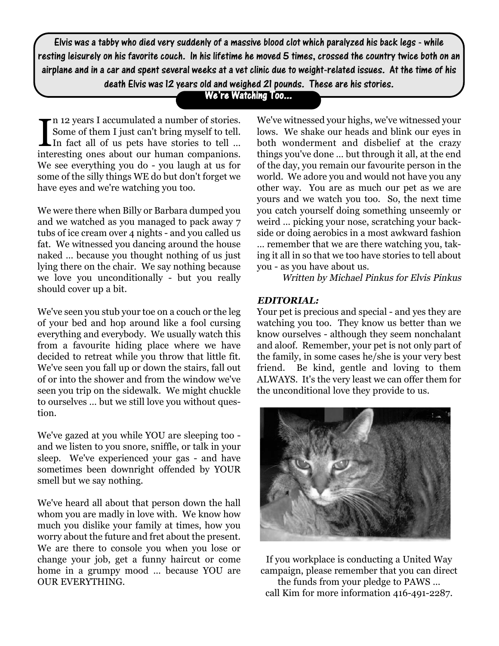Elvis was a tabby who died very suddenly of a massive blood clot which paralyzed his back legs - while resting leisurely on his favorite couch. In his lifetime he moved 5 times, crossed the country twice both on an airplane and in a car and spent several weeks at a vet clinic due to weight-related issues. At the time of his death Elvis was 12 years old and weighed 21 pounds. These are his stories.

We're Watching Too...

In 12 years I accumulated a number of stories.<br>Some of them I just can't bring myself to tell.<br>In fact all of us pets have stories to tell ...<br>interesting ones about our human companions. n 12 years I accumulated a number of stories. Some of them I just can't bring myself to tell.  $\mathsf{L}$  In fact all of us pets have stories to tell ... We see everything you do - you laugh at us for some of the silly things WE do but don't forget we have eyes and we're watching you too.

We were there when Billy or Barbara dumped you and we watched as you managed to pack away 7 tubs of ice cream over 4 nights - and you called us fat. We witnessed you dancing around the house naked … because you thought nothing of us just lying there on the chair. We say nothing because we love you unconditionally - but you really should cover up a bit.

We've seen you stub your toe on a couch or the leg of your bed and hop around like a fool cursing everything and everybody. We usually watch this from a favourite hiding place where we have decided to retreat while you throw that little fit. We've seen you fall up or down the stairs, fall out of or into the shower and from the window we've seen you trip on the sidewalk. We might chuckle to ourselves … but we still love you without question.

We've gazed at you while YOU are sleeping too and we listen to you snore, sniffle, or talk in your sleep. We've experienced your gas - and have sometimes been downright offended by YOUR smell but we say nothing.

We've heard all about that person down the hall whom you are madly in love with. We know how much you dislike your family at times, how you worry about the future and fret about the present. We are there to console you when you lose or change your job, get a funny haircut or come home in a grumpy mood … because YOU are OUR EVERYTHING.

We've witnessed your highs, we've witnessed your lows. We shake our heads and blink our eyes in both wonderment and disbelief at the crazy things you've done … but through it all, at the end of the day, you remain our favourite person in the world. We adore you and would not have you any other way. You are as much our pet as we are yours and we watch you too. So, the next time you catch yourself doing something unseemly or weird … picking your nose, scratching your backside or doing aerobics in a most awkward fashion … remember that we are there watching you, taking it all in so that we too have stories to tell about you - as you have about us.

Written by Michael Pinkus for Elvis Pinkus

#### **EDITORIAL:**

Your pet is precious and special - and yes they are watching you too. They know us better than we know ourselves - although they seem nonchalant and aloof. Remember, your pet is not only part of the family, in some cases he/she is your very best friend. Be kind, gentle and loving to them ALWAYS. It's the very least we can offer them for the unconditional love they provide to us.



If you workplace is conducting a United Way campaign, please remember that you can direct the funds from your pledge to PAWS … call Kim for more information 416-491-2287.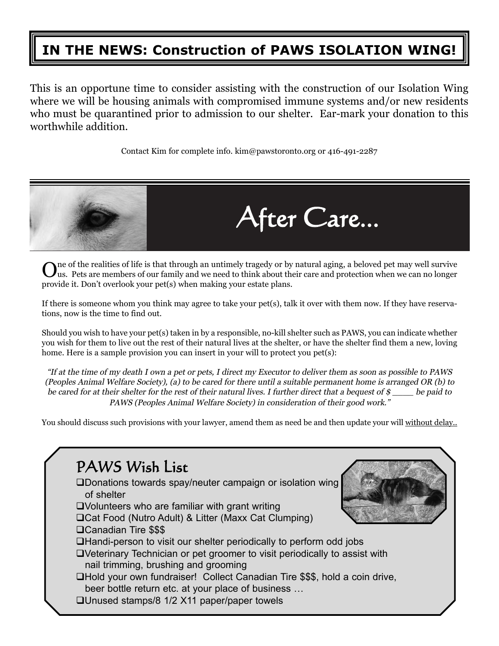## **IN THE NEWS: Construction of PAWS ISOLATION WING!**

This is an opportune time to consider assisting with the construction of our Isolation Wing where we will be housing animals with compromised immune systems and/or new residents who must be quarantined prior to admission to our shelter. Ear-mark your donation to this worthwhile addition.

Contact Kim for complete info. kim@pawstoronto.org or 416-491-2287



 $\mathbf{O}^{\text{ne}}$  of the realities of life is that through an untimely tragedy or by natural aging, a beloved pet may well survive<br>Uus. Pets are members of our family and we need to think about their care and protection when provide it. Don't overlook your pet(s) when making your estate plans.

If there is someone whom you think may agree to take your pet(s), talk it over with them now. If they have reservations, now is the time to find out.

Should you wish to have your pet(s) taken in by a responsible, no-kill shelter such as PAWS, you can indicate whether you wish for them to live out the rest of their natural lives at the shelter, or have the shelter find them a new, loving home. Here is a sample provision you can insert in your will to protect you pet(s):

"If at the time of my death I own a pet or pets, I direct my Executor to deliver them as soon as possible to PAWS (Peoples Animal Welfare Society), (a) to be cared for there until a suitable permanent home is arranged OR (b) to be cared for at their shelter for the rest of their natural lives. I further direct that a bequest of  $\mathcal S$  be paid to PAWS (Peoples Animal Welfare Society) in consideration of their good work."

You should discuss such provisions with your lawyer, amend them as need be and then update your will without delay..

| PAWS Wish List                                                                                                                   |
|----------------------------------------------------------------------------------------------------------------------------------|
| <b>QDonations towards spay/neuter campaign or isolation wing</b><br>of shelter                                                   |
| $\square$ Volunteers who are familiar with grant writing                                                                         |
| □ Cat Food (Nutro Adult) & Litter (Maxx Cat Clumping)                                                                            |
| □ Canadian Tire \$\$\$                                                                                                           |
| □Handi-person to visit our shelter periodically to perform odd jobs                                                              |
| OVeterinary Technician or pet groomer to visit periodically to assist with                                                       |
| nail trimming, brushing and grooming                                                                                             |
| □Hold your own fundraiser! Collect Canadian Tire \$\$\$, hold a coin drive,<br>beer bottle return etc. at your place of business |
| □ Unused stamps/8 1/2 X11 paper/paper towels                                                                                     |
|                                                                                                                                  |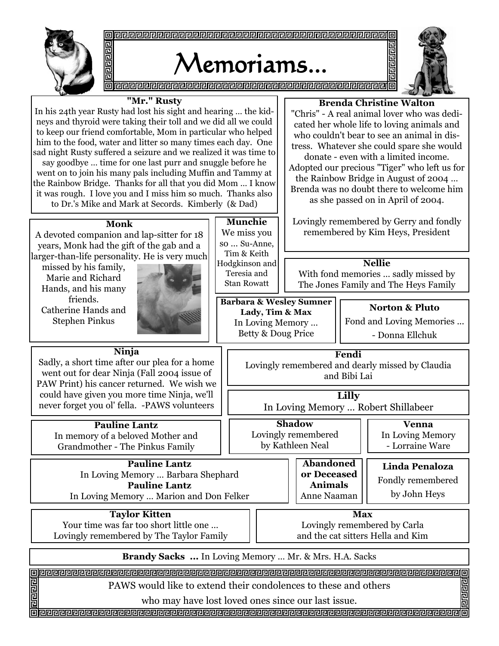